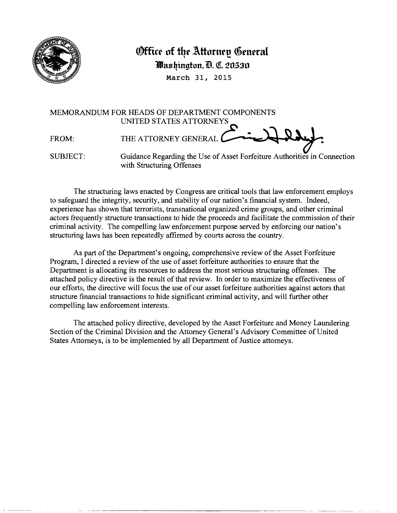

# **Office of the Attorney General**  Washington, D. C. 20530

**March 31, 2015** 

MEMORANDUM FOR HEADS OF DEPARTMENT COMPONENTS UNITED STATES ATTORNEYS FROM: THE ATTORNEY GENERAL SUBJECT: Guidance Regarding the Use of Asset Forfeiture Authorities in Connection with Structuring Offenses

The structuring laws enacted by Congress are critical tools that law enforcement employs to safeguard the integrity, security, and stability of our nation's financial system. Indeed, experience has shown that terrorists, transnational organized crime groups, and other criminal actors frequently structure transactions to hide the proceeds and facilitate the commission of their criminal activity. The compelling law enforcement purpose served by enforcing our nation's structuring laws has been repeatedly affirmed by courts across the country.

As part of the Department's ongoing, comprehensive review of the Asset Forfeiture Program, I directed a review of the use of asset forfeiture authorities to ensure that the Department is allocating its resources to address the most serious structuring offenses. The attached policy directive is the result of that review. In order to maximize the effectiveness of our efforts, the directive will focus the use of our asset forfeiture authorities against actors that structure financial transactions to hide significant criminal activity, and will further other compelling law enforcement interests.

The attached policy directive, developed by the Asset Forfeiture and Money Laundering Section of the Criminal Division and the Attorney General's Advisory Committee of United States Attorneys, is to be implemented by all Department of Justice attorneys.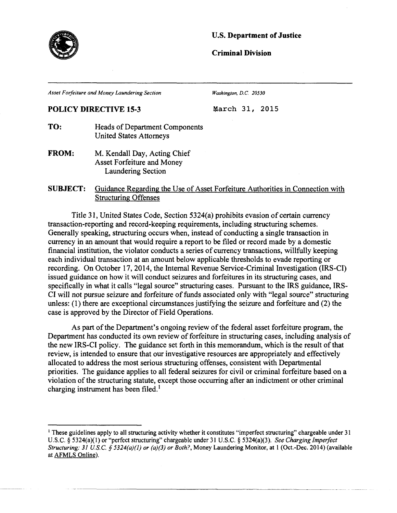

#### **U.S. Department of Justice**

#### **Criminal Division**

*Asset Forfeiture and Money Laundering Section Washington, D.C. 20530* 

#### **POLICY DIRECTIVE 15-3 March 31, 2015**

- **TO:** Heads of Department Components United States Attorneys
- FROM: M. Kendall Day, Acting Chief Asset Forfeiture and Money Laundering Section
- **SUBJECT:** Guidance Regarding the Use of Asset Forfeiture Authorities in Connection with Structuring Offenses

Title 31, United States Code, Section 5324(a) prohibits evasion of certain currency transaction-reporting and record-keeping requirements, including structuring schemes. Generally speaking, structuring occurs when, instead of conducting a single transaction in currency in an amount that would require a report to be filed or record made by a domestic financial institution, the violator conducts a series of currency transactions, willfully keeping each individual transaction at an amount below applicable thresholds to evade reporting or recording. On October 17, 2014, the Internal Revenue Service-Criminal Investigation (IRS-CI) issued guidance on how it will conduct seizures and forfeitures in its structuring cases, and specifically in what it calls "legal source" structuring cases. Pursuant to the IRS guidance, IRS-CI will not pursue seizure and forfeiture of funds associated only with "legal source" structuring unless: (1) there are exceptional circumstances justifying the seizure and forfeiture and (2) the case is approved by the Director of Field Operations.

As part of the Department's ongoing review of the federal asset forfeiture program, the Department has conducted its own review of forfeiture in structuring cases, including analysis of the new IRS-CI policy. The guidance set forth in this memorandum, which is the result of that review, is intended to ensure that our investigative resources are appropriately and effectively allocated to address the most serious structuring offenses, consistent with Departmental priorities. The guidance applies to all federal seizures for civil or criminal forfeiture based on a violation of the structuring statute, except those occurring after an indictment or other criminal charging instrument has been filed.<sup>1</sup>

**<sup>1</sup> These guidelines apply to all structuring activity whether it constitutes "imperfect structuring" chargeable under 31 U.S.C. § 5324(a)(1) or "perfect structuring" chargeable under 31 U.S.C. § 5324(a)(3).** *See Charging Imperfect Structuring: 31 U.S.C. § 5324(a)(1) or (a)(3) or Both?,* **Money Laundering Monitor, at 1 (Oct.-Dec. 2014) (available at AFMLS Online).**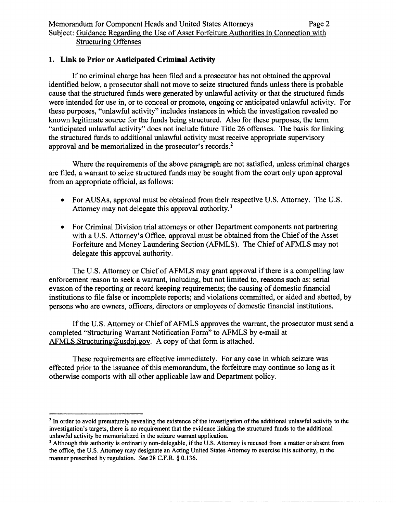# **1. Link to Prior or Anticipated Criminal Activity**

If no criminal charge has been filed and a prosecutor has not obtained the approval identified below, a prosecutor shall not move to seize structured funds unless there is probable cause that the structured funds were generated by unlawful activity or that the structured funds were intended for use in, or to conceal or promote, ongoing or anticipated unlawful activity. For these purposes, "unlawful activity" includes instances in which the investigation revealed no known legitimate source for the funds being structured. Also for these purposes, the term "anticipated unlawful activity" does not include future Title 26 offenses. The basis for linking the structured funds to additional unlawful activity must receive appropriate supervisory approval and be memorialized in the prosecutor's records.<sup>2</sup>

Where the requirements of the above paragraph are not satisfied, unless criminal charges are filed, a warrant to seize structured funds may be sought from the court only upon approval from an appropriate official, as follows:

- For AUSAs, approval must be obtained from their respective U.S. Attorney. The U.S. Attorney may not delegate this approval authority.<sup>3</sup>
- For Criminal Division trial attorneys or other Department components not partnering with a U.S. Attorney's Office, approval must be obtained from the Chief of the Asset Forfeiture and Money Laundering Section (AFMLS). The Chief of AFMLS may not delegate this approval authority.

The U.S. Attorney or Chief of AFMLS may grant approval if there is a compelling law enforcement reason to seek a warrant, including, but not limited to, reasons such as: serial evasion of the reporting or record keeping requirements; the causing of domestic financial institutions to file false or incomplete reports; and violations committed, or aided and abetted, by persons who are owners, officers, directors or employees of domestic financial institutions.

If the U.S. Attorney or Chief of AFMLS approves the warrant, the prosecutor must send a completed "Structuring Warrant Notification Form" to AFMLS by e-mail at AFMLS.Structuring@usdoj.gov. A copy of that form is attached.

These requirements are effective immediately. For any case in which seizure was effected prior to the issuance of this memorandum, the forfeiture may continue so long as it otherwise comports with all other applicable law and Department policy.

**<sup>2</sup> In order to avoid prematurely revealing the existence of the investigation of the additional unlawful activity to the investigation's targets, there is no requirement that the evidence linking the structured funds to the additional unlawful activity be memorialized in the seizure warrant application.** 

**<sup>3</sup> Although this authority is ordinarily non-delegable, if the U.S. Attorney is recused from a matter or absent from the office, the U.S. Attorney may designate an Acting United States Attorney to exercise this authority, in the manner prescribed by regulation.** *See* **28 C.F.R. § 0.136.**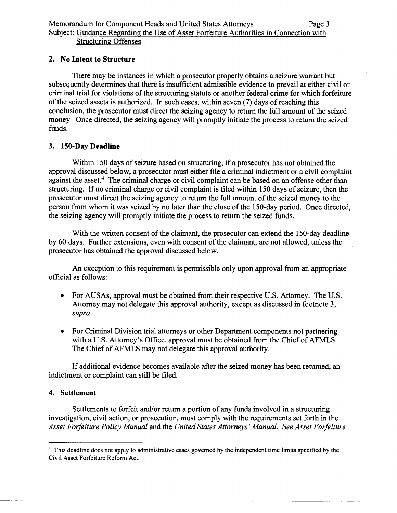#### **2. No Intent to Structure**

There may be instances in which a prosecutor properly obtains a seizure warrant but subsequently determines that there is insufficient admissible evidence to prevail at either civil or criminal trial for violations of the structuring statute or another federal crime for which forfeiture of the seized assets is authorized. In such cases, within seven (7) days of reaching this conclusion, the prosecutor must direct the seizing agency to return the full amount of the seized money. Once directed, the seizing agency will promptly initiate the process to return the seized funds.

# **3. 150-Day Deadline**

Within 150 days of seizure based on structuring, if a prosecutor has not obtained the approval discussed below, a prosecutor must either file a criminal indictment or a civil complaint against the asset.<sup>4</sup> The criminal charge or civil complaint can be based on an offense other than structuring. If no criminal charge or civil complaint is filed within 150 days of seizure, then the prosecutor must direct the seizing agency to return the full amount of the seized money to the person from whom it was seized by no later than the close of the 150-day period. Once directed, the seizing agency will promptly initiate the process to return the seized funds.

With the written consent of the claimant, the prosecutor can extend the 150-day deadline by 60 days. Further extensions, even with consent of the claimant, are not allowed, unless the prosecutor has obtained the approval discussed below.

An exception to this requirement is permissible only upon approval from an appropriate official as follows:

- For AUSAs, approval must be obtained from their respective U.S. Attorney. The U.S. Attorney may not delegate this approval authority, except as discussed in footnote 3, *supra.*
- For Criminal Division trial attorneys or other Department components not partnering with a U.S. Attorney's Office, approval must be obtained from the Chief of AFMLS. The Chief of AFMLS may not delegate this approval authority.

If additional evidence becomes available after the seized money has been returned, an indictment or complaint can still be filed.

### **4. Settlement**

Settlements to forfeit and/or return a portion of any funds involved in a structuring investigation, civil action, or prosecution, must comply with the requirements set forth in the *Asset Forfeiture Policy Manual* and the *United States Attorneys' Manual. See Asset Forfeiture* 

**<sup>4</sup> This deadline does not apply to administrative cases governed by the independent time limits specified by the Civil Asset Forfeiture Reform Act.**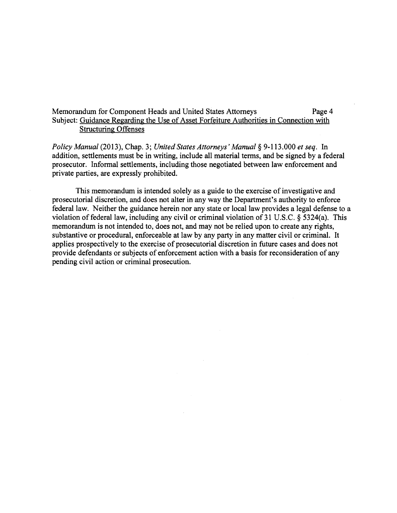# Memorandum for Component Heads and United States Attorneys Page 4 Subject: Guidance Regarding the Use of Asset Forfeiture Authorities in Connection with Structuring Offenses

*Policy Manual* (2013), Chap. 3; *United States Attorneys' Manual* § 9-113.000 *et seq.* In addition, settlements must be in writing, include all material terms, and be signed by a federal prosecutor. Informal settlements, including those negotiated between law enforcement and private parties, are expressly prohibited.

This memorandum is intended solely as a guide to the exercise of investigative and prosecutorial discretion, and does not alter in any way the Department's authority to enforce federal law. Neither the guidance herein nor any state or local law provides a legal defense to a violation of federal law, including any civil or criminal violation of 31 U.S.C. § 5324(a). This memorandum is not intended to, does not, and may not be relied upon to create any rights, substantive or procedural, enforceable at law by any party in any matter civil or criminal. It applies prospectively to the exercise of prosecutorial discretion in future cases and does not provide defendants or subjects of enforcement action with a basis for reconsideration of any pending civil action or criminal prosecution.